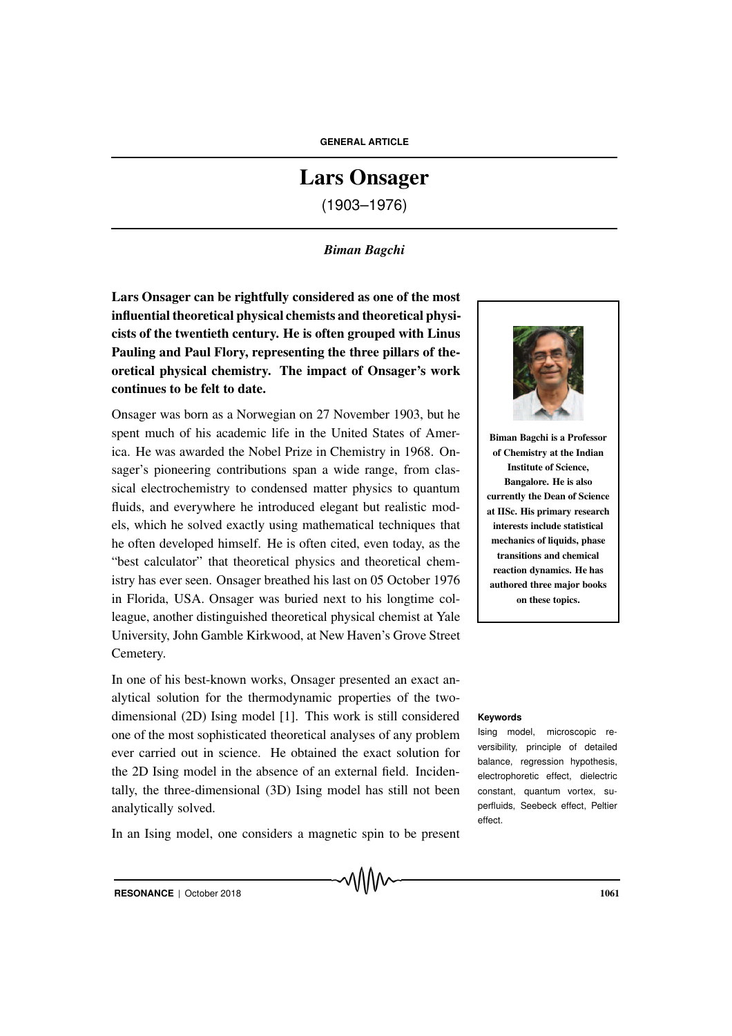# Lars Onsager

(1903–1976)

### *Biman Bagchi*

Lars Onsager can be rightfully considered as one of the most influential theoretical physical chemists and theoretical physicists of the twentieth century. He is often grouped with Linus Pauling and Paul Flory, representing the three pillars of theoretical physical chemistry. The impact of Onsager's work continues to be felt to date.

Onsager was born as a Norwegian on 27 November 1903, but he spent much of his academic life in the United States of America. He was awarded the Nobel Prize in Chemistry in 1968. Onsager's pioneering contributions span a wide range, from classical electrochemistry to condensed matter physics to quantum fluids, and everywhere he introduced elegant but realistic models, which he solved exactly using mathematical techniques that he often developed himself. He is often cited, even today, as the "best calculator" that theoretical physics and theoretical chemistry has ever seen. Onsager breathed his last on 05 October 1976 in Florida, USA. Onsager was buried next to his longtime colleague, another distinguished theoretical physical chemist at Yale University, John Gamble Kirkwood, at New Haven's Grove Street Cemetery.

In one of his best-known works, Onsager presented an exact analytical solution for the thermodynamic properties of the twodimensional (2D) Ising model [1]. This work is still considered **Keywords** one of the most sophisticated theoretical analyses of any problem ever carried out in science. He obtained the exact solution for the 2D Ising model in the absence of an external field. Incidentally, the three-dimensional (3D) Ising model has still not been analytically solved.

In an Ising model, one considers a magnetic spin to be present



Biman Bagchi is a Professor of Chemistry at the Indian Institute of Science, Bangalore. He is also currently the Dean of Science at IISc. His primary research interests include statistical mechanics of liquids, phase transitions and chemical reaction dynamics. He has authored three major books on these topics.

Ising model, microscopic reversibility, principle of detailed balance, regression hypothesis, electrophoretic effect, dielectric constant, quantum vortex, superfluids, Seebeck effect, Peltier effect.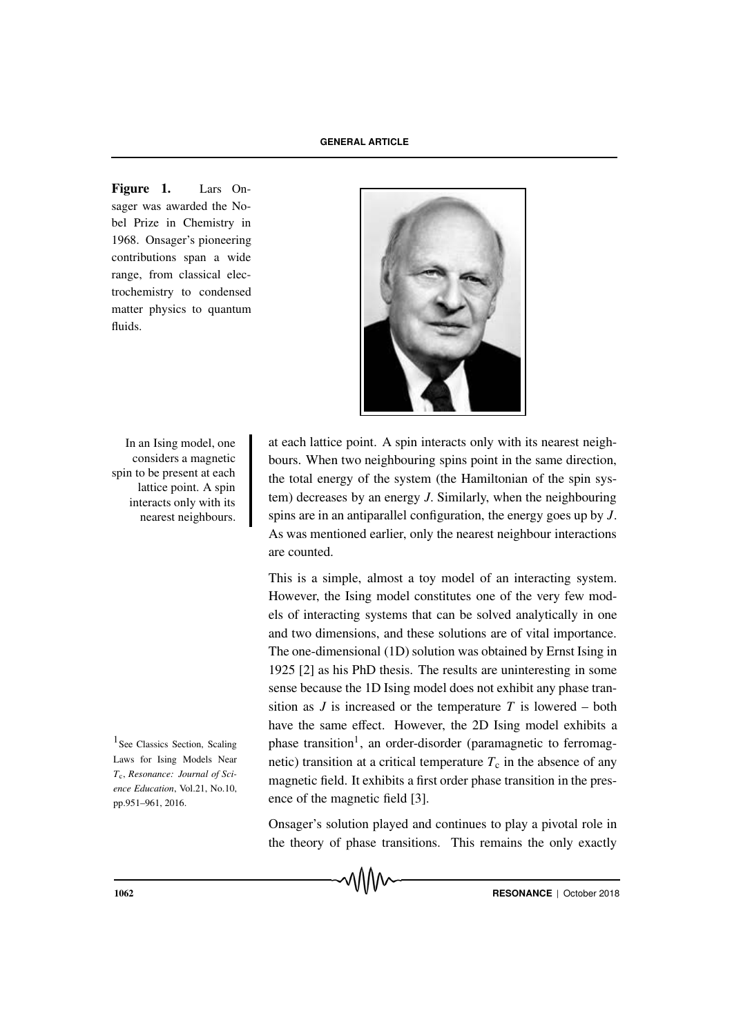Figure 1. Lars Onsager was awarded the Nobel Prize in Chemistry in 1968. Onsager's pioneering contributions span a wide range, from classical electrochemistry to condensed matter physics to quantum fluids.



In an Ising model, one considers a magnetic spin to be present at each lattice point. A spin interacts only with its nearest neighbours.

 $\frac{1}{2}$  See Classics Section, Scaling Laws for Ising Models Near *T*c, *Resonance: Journal of Science Education*, Vol.21, No.10, pp.951–961, 2016.

at each lattice point. A spin interacts only with its nearest neighbours. When two neighbouring spins point in the same direction, the total energy of the system (the Hamiltonian of the spin system) decreases by an energy *J*. Similarly, when the neighbouring spins are in an antiparallel configuration, the energy goes up by *J*. As was mentioned earlier, only the nearest neighbour interactions are counted.

This is a simple, almost a toy model of an interacting system. However, the Ising model constitutes one of the very few models of interacting systems that can be solved analytically in one and two dimensions, and these solutions are of vital importance. The one-dimensional (1D) solution was obtained by Ernst Ising in 1925 [2] as his PhD thesis. The results are uninteresting in some sense because the 1D Ising model does not exhibit any phase transition as  $J$  is increased or the temperature  $T$  is lowered – both have the same effect. However, the 2D Ising model exhibits a phase transition<sup>1</sup>, an order-disorder (paramagnetic to ferromagnetic) transition at a critical temperature  $T_c$  in the absence of any magnetic field. It exhibits a first order phase transition in the presence of the magnetic field [3].

Onsager's solution played and continues to play a pivotal role in the theory of phase transitions. This remains the only exactly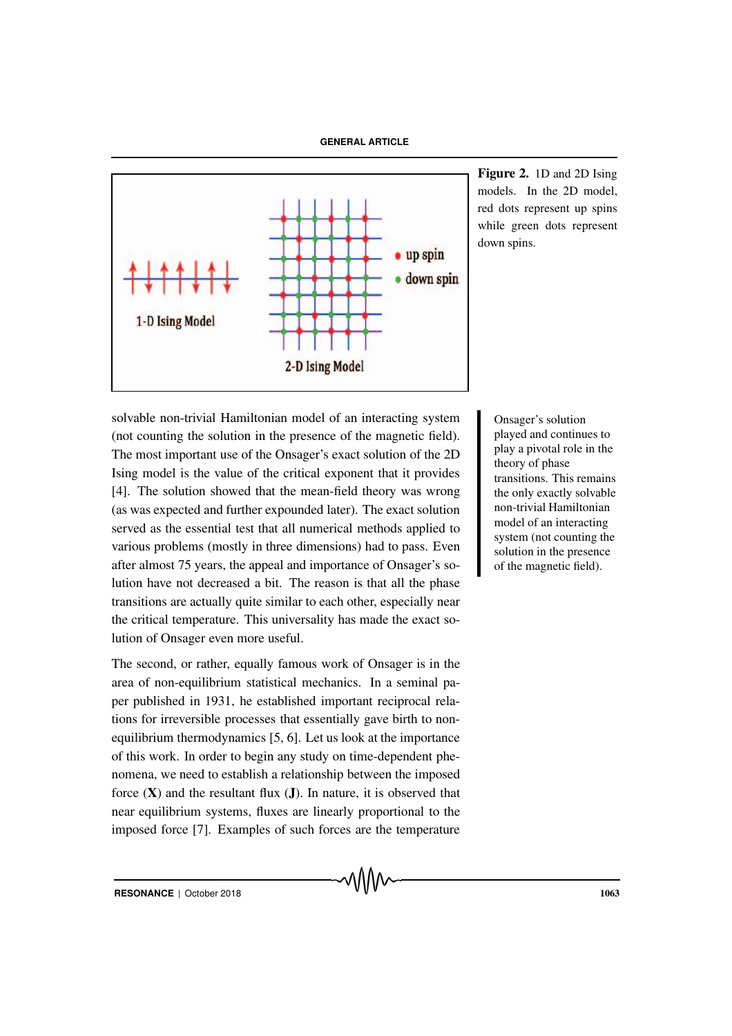

Figure 2. 1D and 2D Ising models. In the 2D model, red dots represent up spins while green dots represent down spins.

solvable Onsager's solution non-trivial Hamiltonian model of an interacting system (not counting the solution in the presence of the magnetic field). The most important use of the Onsager's exact solution of the 2D Ising model is the value of the critical exponent that it provides [4]. The solution showed that the mean-field theory was wrong (as was expected and further expounded later). The exact solution served as the essential test that all numerical methods applied to various problems (mostly in three dimensions) had to pass. Even after almost 75 years, the appeal and importance of Onsager's solution have not decreased a bit. The reason is that all the phase transitions are actually quite similar to each other, especially near the critical temperature. This universality has made the exact solution of Onsager even more useful.

The second, or rather, equally famous work of Onsager is in the area of non-equilibrium statistical mechanics. In a seminal paper published in 1931, he established important reciprocal relations for irreversible processes that essentially gave birth to nonequilibrium thermodynamics [5, 6]. Let us look at the importance of this work. In order to begin any study on time-dependent phenomena, we need to establish a relationship between the imposed force  $(X)$  and the resultant flux  $(J)$ . In nature, it is observed that near equilibrium systems, fluxes are linearly proportional to the imposed force [7]. Examples of such forces are the temperature

played and continues to play a pivotal role in the theory of phase transitions. This remains the only exactly solvable non-trivial Hamiltonian model of an interacting system (not counting the solution in the presence of the magnetic field).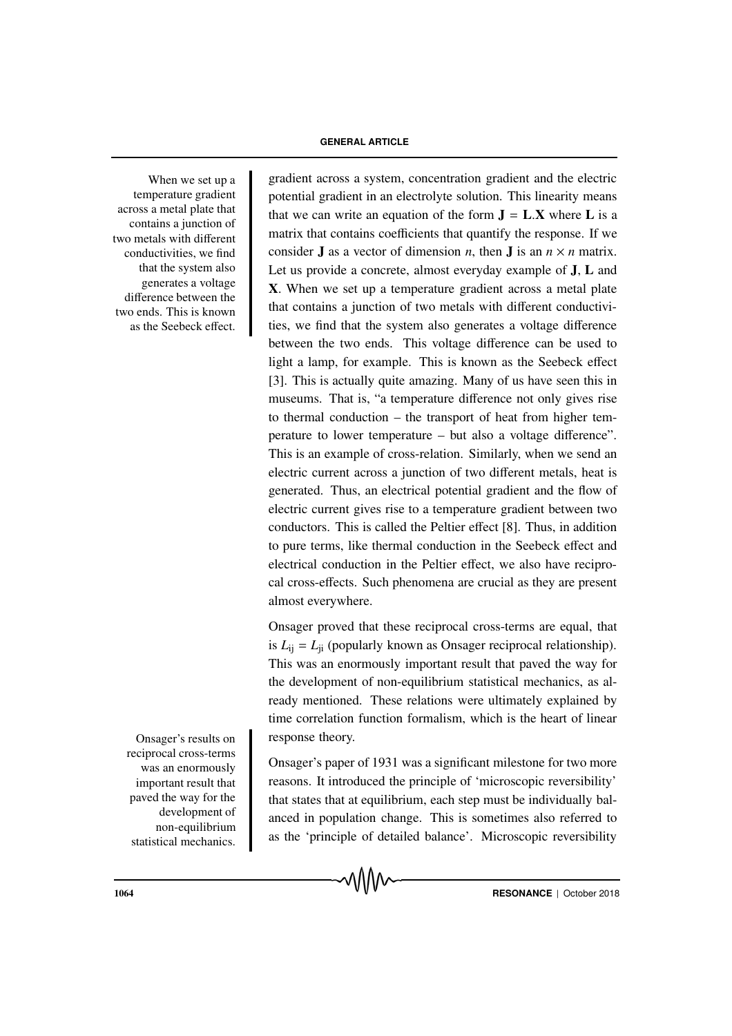When we set up a temperature gradient across a metal plate that contains a junction of two metals with different conductivities, we find that the system also generates a voltage difference between the two ends. This is known as the Seebeck effect.

Onsager's results on reciprocal cross-terms was an enormously important result that paved the way for the development of non-equilibrium statistical mechanics.

gradient across a system, concentration gradient and the electric potential gradient in an electrolyte solution. This linearity means that we can write an equation of the form  $J = L.X$  where L is a matrix that contains coefficients that quantify the response. If we consider **J** as a vector of dimension *n*, then **J** is an  $n \times n$  matrix. Let us provide a concrete, almost everyday example of J, L and X. When we set up a temperature gradient across a metal plate that contains a junction of two metals with different conductivities, we find that the system also generates a voltage difference between the two ends. This voltage difference can be used to light a lamp, for example. This is known as the Seebeck effect [3]. This is actually quite amazing. Many of us have seen this in museums. That is, "a temperature difference not only gives rise to thermal conduction – the transport of heat from higher temperature to lower temperature – but also a voltage difference". This is an example of cross-relation. Similarly, when we send an electric current across a junction of two different metals, heat is generated. Thus, an electrical potential gradient and the flow of electric current gives rise to a temperature gradient between two conductors. This is called the Peltier effect [8]. Thus, in addition to pure terms, like thermal conduction in the Seebeck effect and electrical conduction in the Peltier effect, we also have reciprocal cross-effects. Such phenomena are crucial as they are present almost everywhere.

Onsager proved that these reciprocal cross-terms are equal, that is  $L_{ii} = L_{ii}$  (popularly known as Onsager reciprocal relationship). This was an enormously important result that paved the way for the development of non-equilibrium statistical mechanics, as already mentioned. These relations were ultimately explained by time correlation function formalism, which is the heart of linear response theory.

Onsager's paper of 1931 was a significant milestone for two more reasons. It introduced the principle of 'microscopic reversibility' that states that at equilibrium, each step must be individually balanced in population change. This is sometimes also referred to as the 'principle of detailed balance'. Microscopic reversibility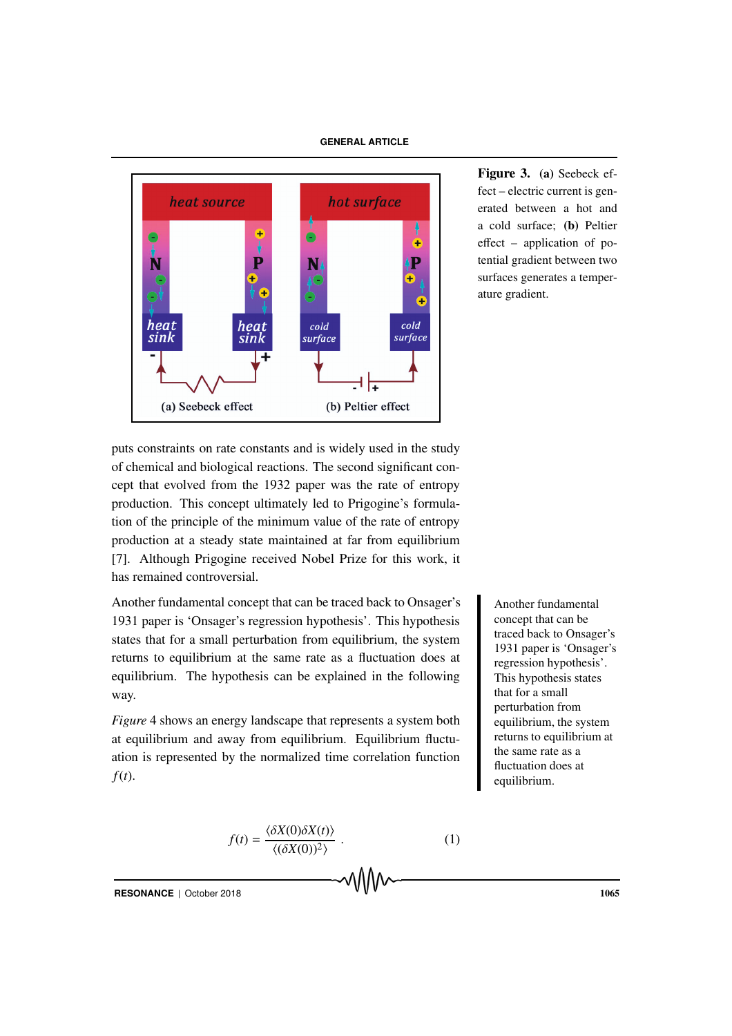

Figure 3. (a) Seebeck effect – electric current is generated between a hot and a cold surface; (b) Peltier effect – application of potential gradient between two surfaces generates a temperature gradient.

puts constraints on rate constants and is widely used in the study of chemical and biological reactions. The second significant concept that evolved from the 1932 paper was the rate of entropy production. This concept ultimately led to Prigogine's formulation of the principle of the minimum value of the rate of entropy production at a steady state maintained at far from equilibrium [7]. Although Prigogine received Nobel Prize for this work, it has remained controversial.

Another fundamental concept that can be traced back to Onsager's Another fundamental 1931 paper is 'Onsager's regression hypothesis'. This hypothesis states that for a small perturbation from equilibrium, the system returns to equilibrium at the same rate as a fluctuation does at equilibrium. The hypothesis can be explained in the following way.

*Figure* 4 shows an energy landscape that represents a system both at equilibrium and away from equilibrium. Equilibrium fluctuation is represented by the normalized time correlation function *f*(*t*).

$$
f(t) = \frac{\langle \delta X(0) \delta X(t) \rangle}{\langle (\delta X(0))^{2} \rangle} . \tag{1}
$$

concept that can be traced back to Onsager's 1931 paper is 'Onsager's regression hypothesis'. This hypothesis states that for a small perturbation from equilibrium, the system returns to equilibrium at the same rate as a fluctuation does at equilibrium.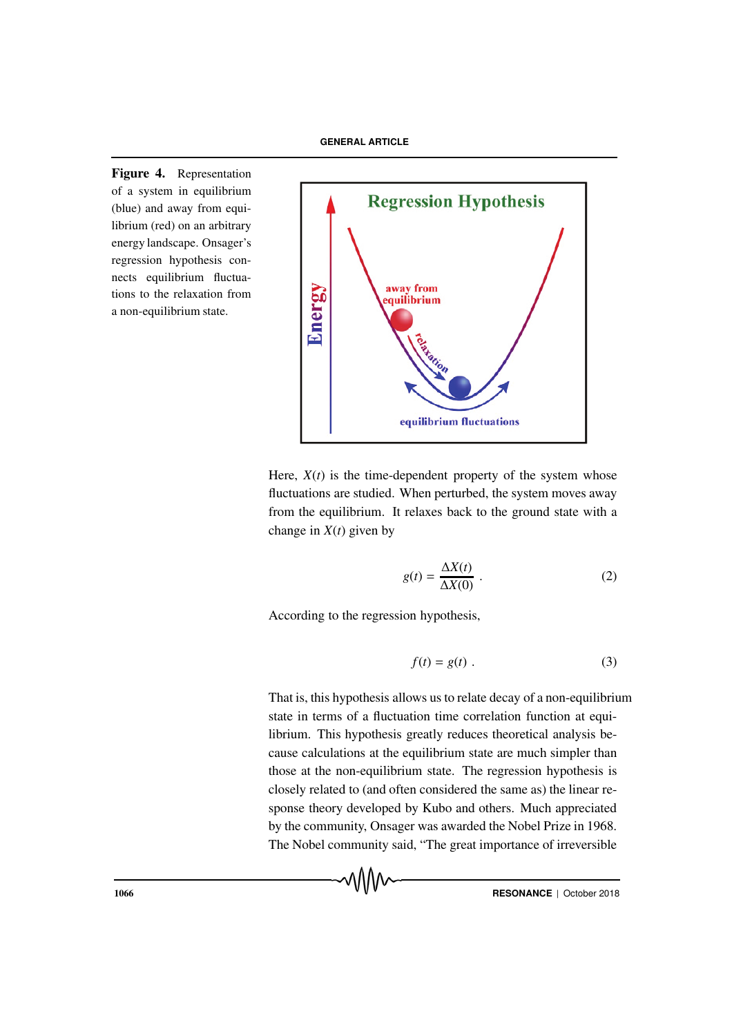Figure 4. Representation of a system in equilibrium (blue) and away from equilibrium (red) on an arbitrary energy landscape. Onsager's regression hypothesis connects equilibrium fluctuations to the relaxation from a non-equilibrium state.



Here,  $X(t)$  is the time-dependent property of the system whose fluctuations are studied. When perturbed, the system moves away from the equilibrium. It relaxes back to the ground state with a change in  $X(t)$  given by

$$
g(t) = \frac{\Delta X(t)}{\Delta X(0)} \tag{2}
$$

According to the regression hypothesis,

$$
f(t) = g(t) . \tag{3}
$$

That is, this hypothesis allows us to relate decay of a non-equilibrium state in terms of a fluctuation time correlation function at equilibrium. This hypothesis greatly reduces theoretical analysis because calculations at the equilibrium state are much simpler than those at the non-equilibrium state. The regression hypothesis is closely related to (and often considered the same as) the linear response theory developed by Kubo and others. Much appreciated by the community, Onsager was awarded the Nobel Prize in 1968. The Nobel community said, "The great importance of irreversible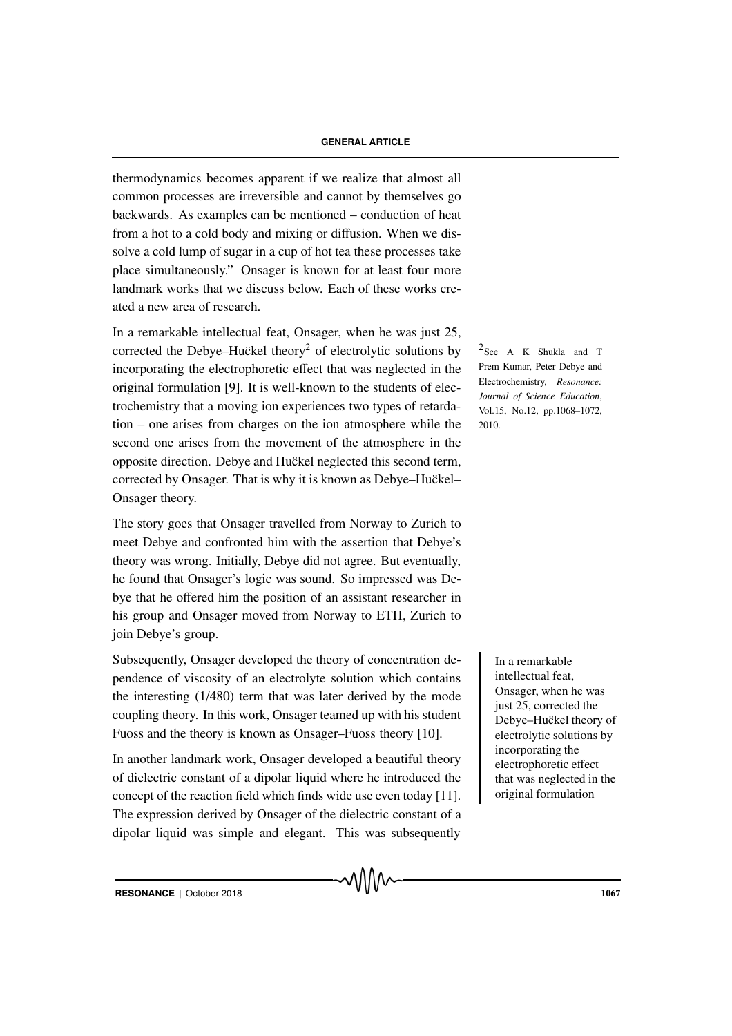thermodynamics becomes apparent if we realize that almost all common processes are irreversible and cannot by themselves go backwards. As examples can be mentioned – conduction of heat from a hot to a cold body and mixing or diffusion. When we dissolve a cold lump of sugar in a cup of hot tea these processes take place simultaneously." Onsager is known for at least four more landmark works that we discuss below. Each of these works created a new area of research.

In a remarkable intellectual feat, Onsager, when he was just 25, corrected the Debye–Huckel theory<sup>2</sup> of electrolytic solutions by  $\frac{2}{\text{See}}$  A K Shukla and T incorporating the electrophoretic effect that was neglected in the original formulation [9]. It is well-known to the students of electrochemistry that a moving ion experiences two types of retardation – one arises from charges on the ion atmosphere while the second one arises from the movement of the atmosphere in the opposite direction. Debye and Huckel neglected this second term, corrected by Onsager. That is why it is known as Debye–Huckel– Onsager theory.

The story goes that Onsager travelled from Norway to Zurich to meet Debye and confronted him with the assertion that Debye's theory was wrong. Initially, Debye did not agree. But eventually, he found that Onsager's logic was sound. So impressed was Debye that he offered him the position of an assistant researcher in his group and Onsager moved from Norway to ETH, Zurich to join Debye's group.

Subsequently, Onsager developed the theory of concentration de-<br>In a remarkable pendence of viscosity of an electrolyte solution which contains the interesting (1/480) term that was later derived by the mode coupling theory. In this work, Onsager teamed up with his student Fuoss and the theory is known as Onsager–Fuoss theory [10].

In another landmark work, Onsager developed a beautiful theory of dielectric constant of a dipolar liquid where he introduced the concept of the reaction field which finds wide use even today [11]. The expression derived by Onsager of the dielectric constant of a dipolar liquid was simple and elegant. This was subsequently

Prem Kumar, Peter Debye and Electrochemistry, *Resonance: Journal of Science Education*, Vol.15, No.12, pp.1068–1072, 2010.

> intellectual feat, Onsager, when he was just 25, corrected the Debye–Huckel theory of electrolytic solutions by incorporating the electrophoretic effect that was neglected in the original formulation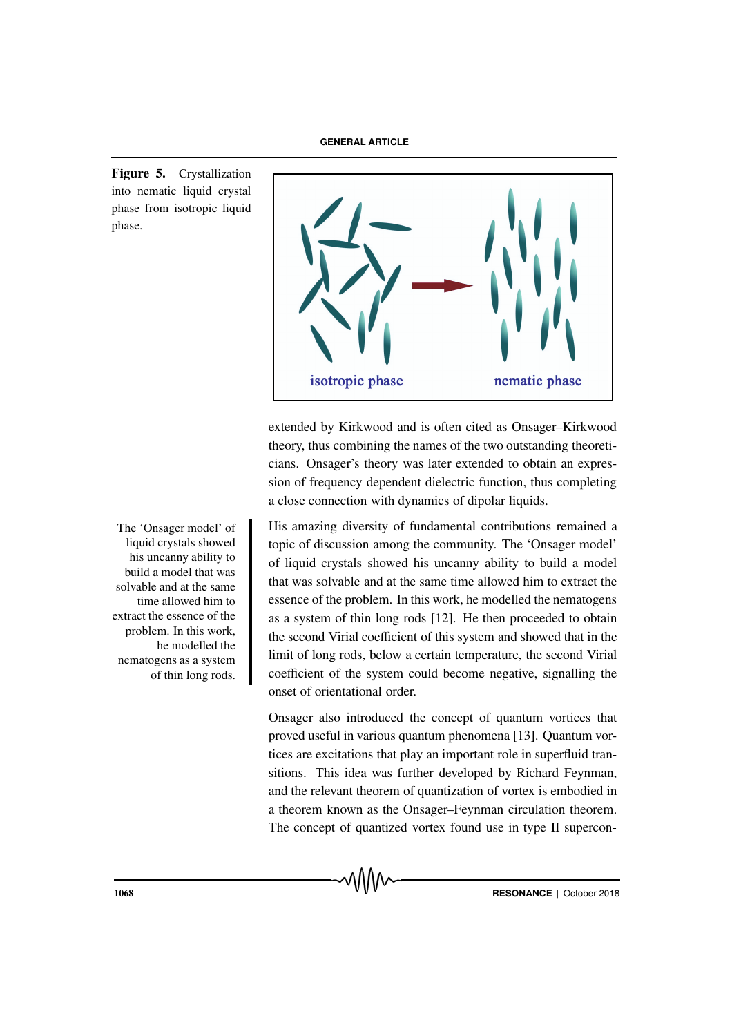Figure 5. Crystallization into nematic liquid crystal phase from isotropic liquid phase.



extended by Kirkwood and is often cited as Onsager–Kirkwood theory, thus combining the names of the two outstanding theoreticians. Onsager's theory was later extended to obtain an expression of frequency dependent dielectric function, thus completing a close connection with dynamics of dipolar liquids.

His amazing diversity of fundamental contributions remained a topic of discussion among the community. The 'Onsager model' of liquid crystals showed his uncanny ability to build a model that was solvable and at the same time allowed him to extract the essence of the problem. In this work, he modelled the nematogens as a system of thin long rods [12]. He then proceeded to obtain the second Virial coefficient of this system and showed that in the limit of long rods, below a certain temperature, the second Virial coefficient of the system could become negative, signalling the onset of orientational order.

Onsager also introduced the concept of quantum vortices that proved useful in various quantum phenomena [13]. Quantum vortices are excitations that play an important role in superfluid transitions. This idea was further developed by Richard Feynman, and the relevant theorem of quantization of vortex is embodied in a theorem known as the Onsager–Feynman circulation theorem. The concept of quantized vortex found use in type II supercon-

The 'Onsager model' of liquid crystals showed his uncanny ability to build a model that was solvable and at the same time allowed him to extract the essence of the problem. In this work, he modelled the nematogens as a system of thin long rods.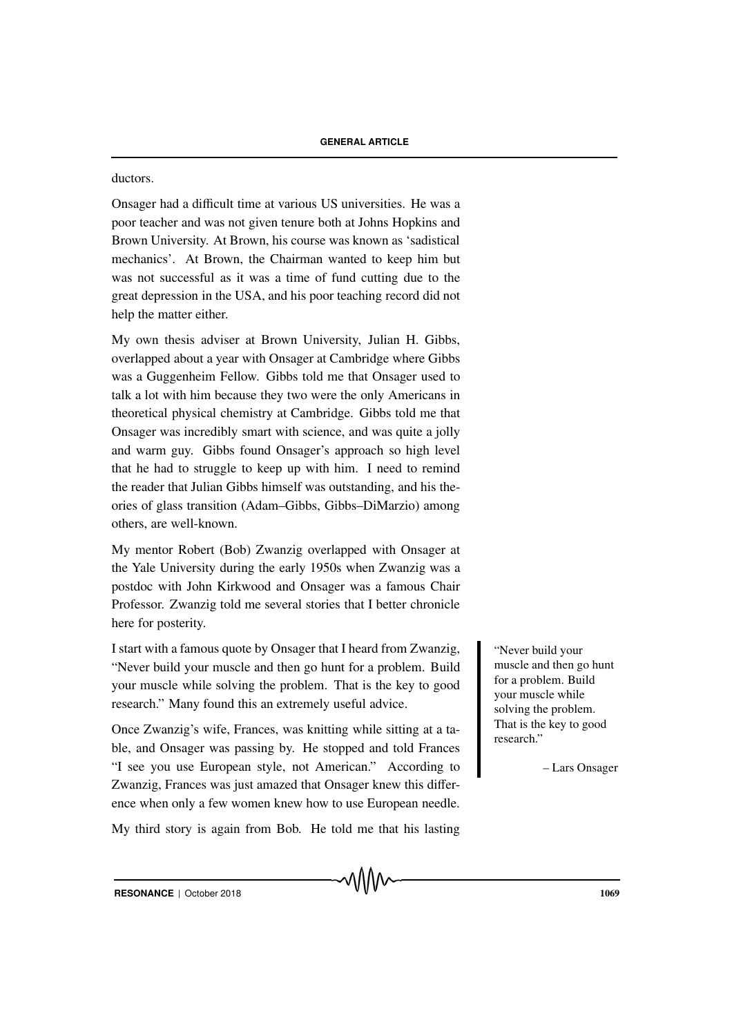ductors.

Onsager had a difficult time at various US universities. He was a poor teacher and was not given tenure both at Johns Hopkins and Brown University. At Brown, his course was known as 'sadistical mechanics'. At Brown, the Chairman wanted to keep him but was not successful as it was a time of fund cutting due to the great depression in the USA, and his poor teaching record did not help the matter either.

My own thesis adviser at Brown University, Julian H. Gibbs, overlapped about a year with Onsager at Cambridge where Gibbs was a Guggenheim Fellow. Gibbs told me that Onsager used to talk a lot with him because they two were the only Americans in theoretical physical chemistry at Cambridge. Gibbs told me that Onsager was incredibly smart with science, and was quite a jolly and warm guy. Gibbs found Onsager's approach so high level that he had to struggle to keep up with him. I need to remind the reader that Julian Gibbs himself was outstanding, and his theories of glass transition (Adam–Gibbs, Gibbs–DiMarzio) among others, are well-known.

My mentor Robert (Bob) Zwanzig overlapped with Onsager at the Yale University during the early 1950s when Zwanzig was a postdoc with John Kirkwood and Onsager was a famous Chair Professor. Zwanzig told me several stories that I better chronicle here for posterity.

I start with a famous quote by Onsager that I heard from Zwanzig, Septeces 1 and Yever build your "Never build your muscle and then go hunt for a problem. Build your muscle while solving the problem. That is the key to good research." Many found this an extremely useful advice.

Once Zwanzig's wife, Frances, was knitting while sitting at a table, and Onsager was passing by. He stopped and told Frances "I see you use European style, not American." According to Zwanzig, Frances was just amazed that Onsager knew this difference when only a few women knew how to use European needle.

My third story is again from Bob. He told me that his lasting

muscle and then go hunt for a problem. Build your muscle while solving the problem. That is the key to good research."

– Lars Onsager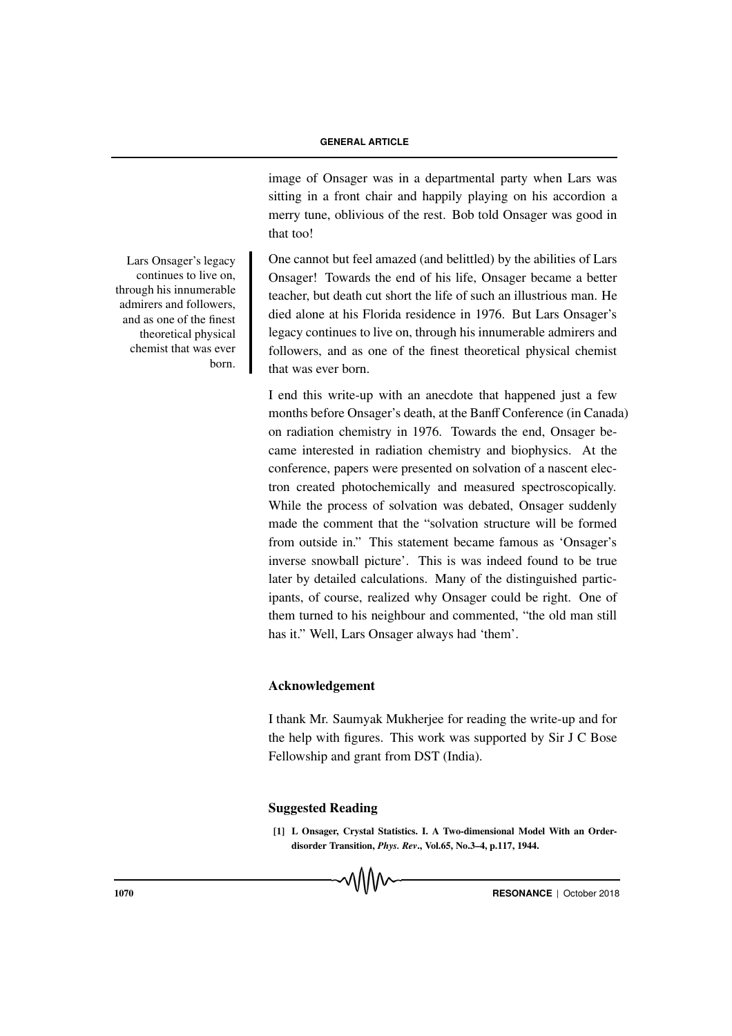image of Onsager was in a departmental party when Lars was sitting in a front chair and happily playing on his accordion a merry tune, oblivious of the rest. Bob told Onsager was good in that too!

One cannot but feel amazed (and belittled) by the abilities of Lars Onsager! Towards the end of his life, Onsager became a better teacher, but death cut short the life of such an illustrious man. He died alone at his Florida residence in 1976. But Lars Onsager's legacy continues to live on, through his innumerable admirers and followers, and as one of the finest theoretical physical chemist that was ever born.

I end this write-up with an anecdote that happened just a few months before Onsager's death, at the Banff Conference (in Canada) on radiation chemistry in 1976. Towards the end, Onsager became interested in radiation chemistry and biophysics. At the conference, papers were presented on solvation of a nascent electron created photochemically and measured spectroscopically. While the process of solvation was debated, Onsager suddenly made the comment that the "solvation structure will be formed from outside in." This statement became famous as 'Onsager's inverse snowball picture'. This is was indeed found to be true later by detailed calculations. Many of the distinguished participants, of course, realized why Onsager could be right. One of them turned to his neighbour and commented, "the old man still has it." Well, Lars Onsager always had 'them'.

### Acknowledgement

I thank Mr. Saumyak Mukherjee for reading the write-up and for the help with figures. This work was supported by Sir J C Bose Fellowship and grant from DST (India).

## Suggested Reading

[1] L Onsager, Crystal Statistics. I. A Two-dimensional Model With an Orderdisorder Transition, *Phys. Rev*., Vol.65, No.3–4, p.117, 1944.

Lars Onsager's legacy continues to live on, through his innumerable admirers and followers, and as one of the finest theoretical physical chemist that was ever born.